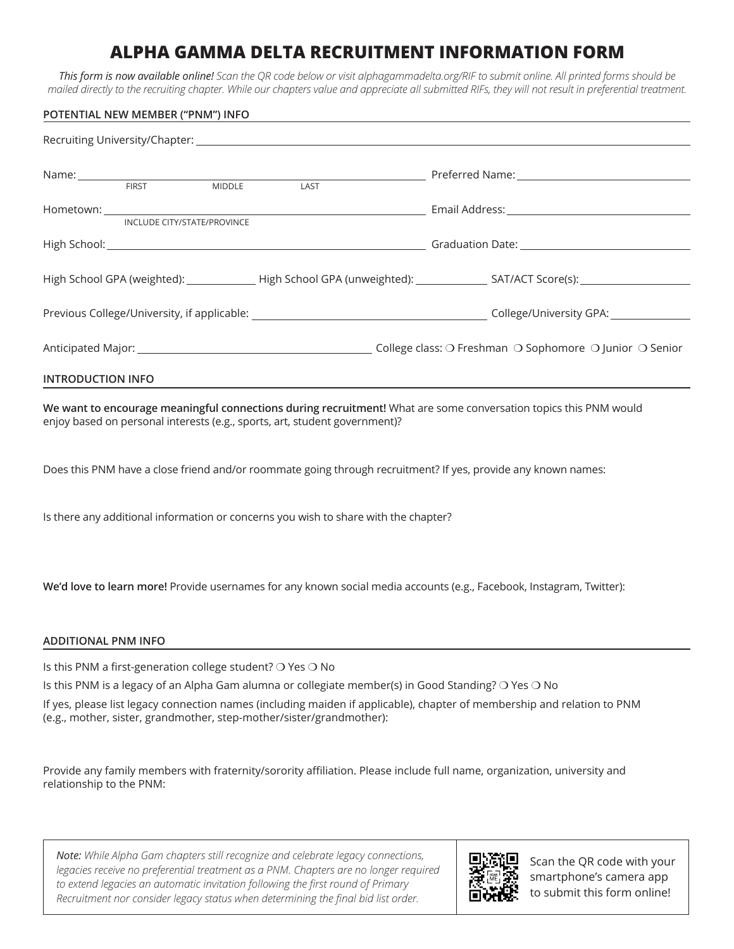## **ALPHA GAMMA DELTA RECRUITMENT INFORMATION FORM**

*This form is now available online! Scan the QR code below or visit alphagammadelta.org/RIF to submit online. All printed forms should be mailed directly to the recruiting chapter. While our chapters value and appreciate all submitted RIFs, they will not result in preferential treatment.*

|                                         | POTENTIAL NEW MEMBER ("PNM") INFO |  |                                                                            | <u> 1980 - An t-Alban Alban Alban Alban Alban Alban Alban Alban Alban Alban Alban Alban Alban Alban Alban Alban A</u>                   |
|-----------------------------------------|-----------------------------------|--|----------------------------------------------------------------------------|-----------------------------------------------------------------------------------------------------------------------------------------|
|                                         |                                   |  |                                                                            |                                                                                                                                         |
| Name: FIRST MIDDLE LAST Preferred Name: |                                   |  |                                                                            |                                                                                                                                         |
|                                         |                                   |  |                                                                            |                                                                                                                                         |
|                                         |                                   |  |                                                                            |                                                                                                                                         |
|                                         | INCLUDE CITY/STATE/PROVINCE       |  |                                                                            |                                                                                                                                         |
|                                         |                                   |  |                                                                            |                                                                                                                                         |
|                                         |                                   |  |                                                                            | High School GPA (weighted): _________________High School GPA (unweighted): _________________SAT/ACT Score(s): _________________________ |
|                                         |                                   |  |                                                                            |                                                                                                                                         |
|                                         |                                   |  |                                                                            |                                                                                                                                         |
| <b>INTRODUCTION INFO</b>                |                                   |  |                                                                            |                                                                                                                                         |
|                                         |                                   |  | enjoy based on personal interests (e.g., sports, art, student government)? | We want to encourage meaningful connections during recruitment! What are some conversation topics this PNM would                        |

Does this PNM have a close friend and/or roommate going through recruitment? If yes, provide any known names:

Is there any additional information or concerns you wish to share with the chapter?

**We'd love to learn more!** Provide usernames for any known social media accounts (e.g., Facebook, Instagram, Twitter):

## **ADDITIONAL PNM INFO**

Is this PNM a first-generation college student? ❍ Yes ❍ No

Is this PNM is a legacy of an Alpha Gam alumna or collegiate member(s) in Good Standing? O Yes O No

If yes, please list legacy connection names (including maiden if applicable), chapter of membership and relation to PNM (e.g., mother, sister, grandmother, step-mother/sister/grandmother):

Provide any family members with fraternity/sorority affiliation. Please include full name, organization, university and relationship to the PNM:

*Note: While Alpha Gam chapters still recognize and celebrate legacy connections,*  legacies receive no preferential treatment as a PNM. Chapters are no longer required *to extend legacies an automatic invitation following the first round of Primary Recruitment nor consider legacy status when determining the final bid list order.*



Scan the QR code with your smartphone's camera app to submit this form online!